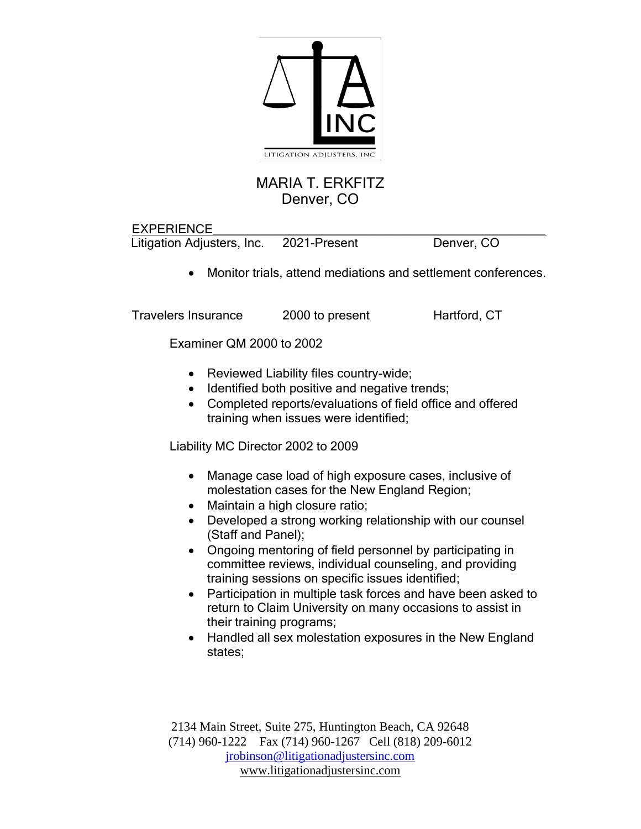

## MARIA T. ERKFITZ Denver, CO

EXPERIENCE\_\_\_\_\_\_\_\_\_\_\_\_\_\_\_\_\_\_\_\_\_\_\_\_\_\_\_\_\_\_\_\_\_\_\_\_\_\_\_\_\_\_\_\_\_\_\_\_ Litigation Adjusters, Inc. 2021-Present Denver, CO

• Monitor trials, attend mediations and settlement conferences.

Travelers Insurance 2000 to present Hartford, CT

Examiner QM 2000 to 2002

- Reviewed Liability files country-wide;
- Identified both positive and negative trends;
- Completed reports/evaluations of field office and offered training when issues were identified;

Liability MC Director 2002 to 2009

- Manage case load of high exposure cases, inclusive of molestation cases for the New England Region;
- Maintain a high closure ratio;
- Developed a strong working relationship with our counsel (Staff and Panel);
- Ongoing mentoring of field personnel by participating in committee reviews, individual counseling, and providing training sessions on specific issues identified;
- Participation in multiple task forces and have been asked to return to Claim University on many occasions to assist in their training programs;
- Handled all sex molestation exposures in the New England states;

2134 Main Street, Suite 275, Huntington Beach, CA 92648 (714) 960-1222 Fax (714) 960-1267 Cell (818) 209-6012 [jrobinson@litigationadjustersinc.com](mailto:jrobinson@litigationadjustersinc.com) www.litigationadjustersinc.com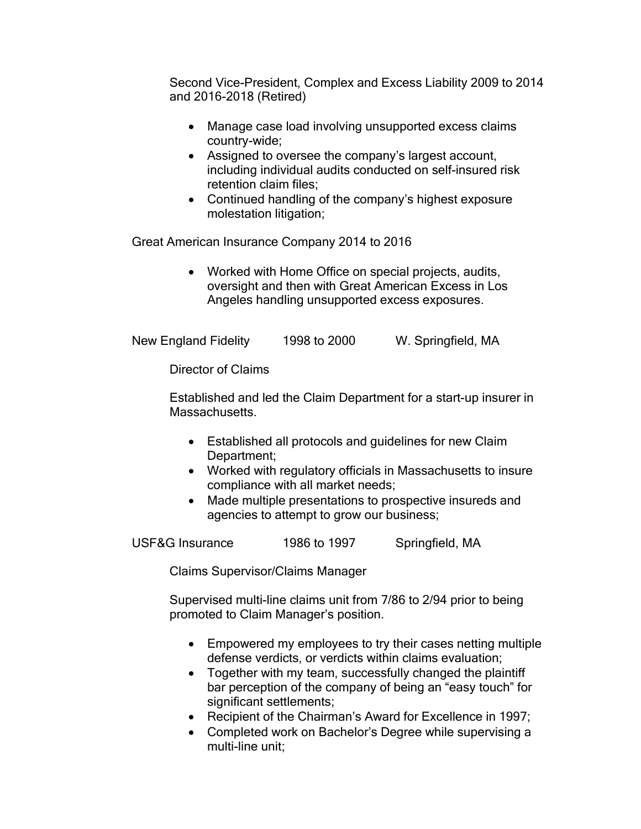Second Vice-President, Complex and Excess Liability 2009 to 2014 and 2016-2018 (Retired)

- Manage case load involving unsupported excess claims country-wide;
- Assigned to oversee the company's largest account, including individual audits conducted on self-insured risk retention claim files;
- Continued handling of the company's highest exposure molestation litigation;

Great American Insurance Company 2014 to 2016

• Worked with Home Office on special projects, audits, oversight and then with Great American Excess in Los Angeles handling unsupported excess exposures.

New England Fidelity 1998 to 2000 W. Springfield, MA

Director of Claims

Established and led the Claim Department for a start-up insurer in Massachusetts.

- Established all protocols and guidelines for new Claim Department;
- Worked with regulatory officials in Massachusetts to insure compliance with all market needs;
- Made multiple presentations to prospective insureds and agencies to attempt to grow our business;

USF&G Insurance 1986 to 1997 Springfield, MA

Claims Supervisor/Claims Manager

Supervised multi-line claims unit from 7/86 to 2/94 prior to being promoted to Claim Manager's position.

- Empowered my employees to try their cases netting multiple defense verdicts, or verdicts within claims evaluation;
- Together with my team, successfully changed the plaintiff bar perception of the company of being an "easy touch" for significant settlements;
- Recipient of the Chairman's Award for Excellence in 1997;
- Completed work on Bachelor's Degree while supervising a multi-line unit;